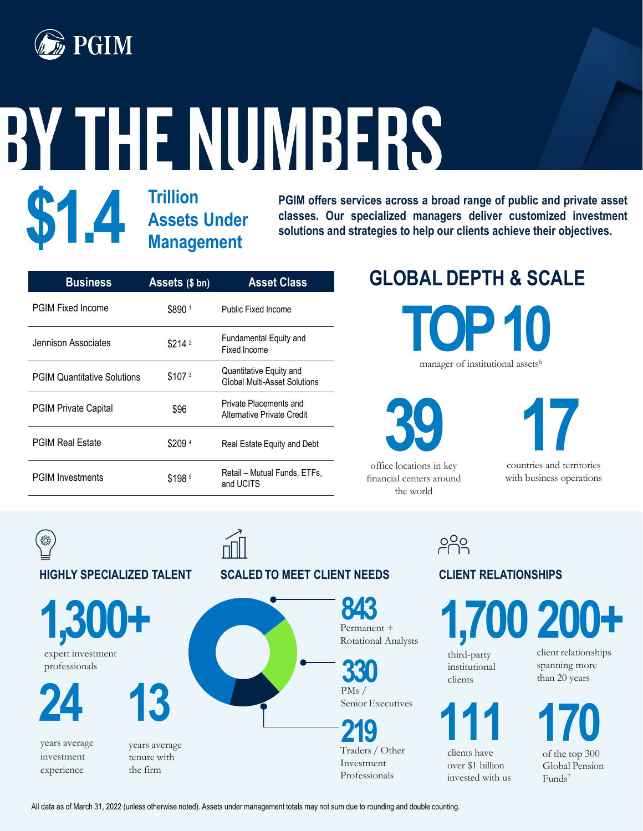

# BY THE NUMBERS

## **\$1.4 Trillion Assets Under Management**

**PGIM offers services across a broad range of public and private asset classes. Our specialized managers deliver customized investment solutions and strategies to help our clients achieve their objectives.**

| <b>Business</b>                    | Assets (\$ bn)     | <b>Asset Class</b>                                      |
|------------------------------------|--------------------|---------------------------------------------------------|
| <b>PGIM Fixed Income</b>           | \$8901             | Public Fixed Income                                     |
| Jennison Associates                | \$214 <sup>2</sup> | Fundamental Equity and<br>Fixed Income                  |
| <b>PGIM Quantitative Solutions</b> | \$107 <sup>3</sup> | Quantitative Equity and<br>Global Multi-Asset Solutions |
| <b>PGIM Private Capital</b>        | \$96               | Private Placements and<br>Alternative Private Credit    |
| <b>PGIM Real Estate</b>            | \$2094             | Real Estate Equity and Debt                             |
| <b>PGIM Investments</b>            | \$1985             | Retail – Mutual Funds, ETFs,<br>and UCITS               |

# **GLOBAL DEPTH & SCALE**

manager of institutional assets<sup>6</sup> **TOP 10**



office locations in key financial centers around the world

**330**

countries and territories with business operations

<u>099</u>

#### **CLIENT RELATIONSHIPS**

**200+ 1,700**

third-party institutional clients



clients have over \$1 billion invested with us client relationships spanning more than 20 years

of the top 300 Global Pension Funds7 **111 170**



All data as of March 31, 2022 (unless otherwise noted). Assets under management totals may not sum due to rounding and double counting.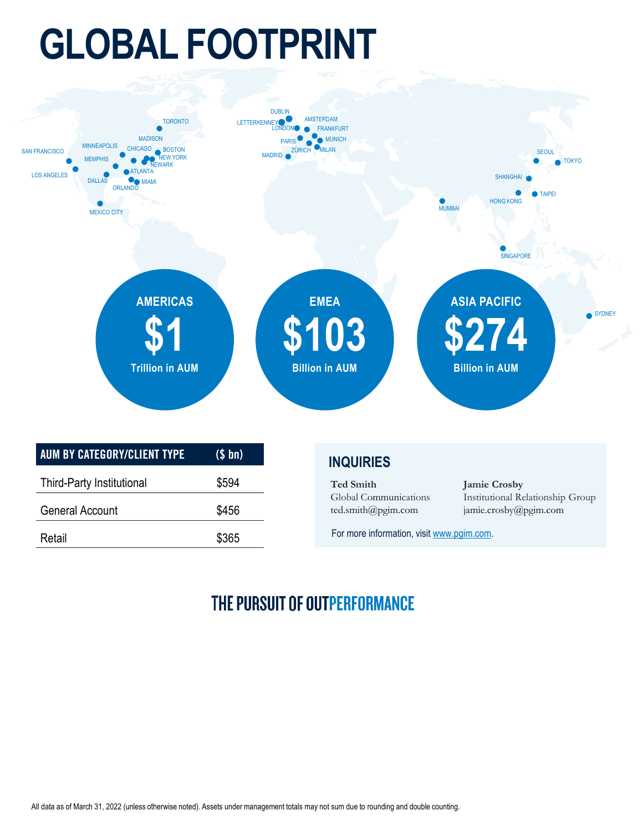# **GLOBAL FOOTPRINT**



For more information, visit [www.pgim.com.](http://www.pgim.com/)

### THE PURSUIT OF OUTPERFORMANCE

Retail \$365